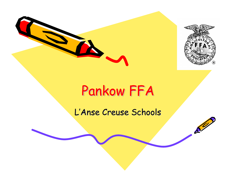



 $\mathcal{S}^{\prime\prime}$ 

#### Pankow FFA

L'Anse Creuse Schools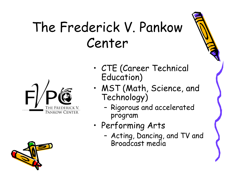### The Frederick V. Pankow Center





- • CTE (Career Technical Education)
- • MST (Math, Science, and Technology)
	- – Rigorous and accelerated program
- • Performing Arts
	- – Acting, Dancing, and TV and Broadcast media

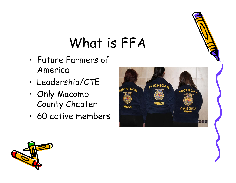## What is FFA

- • Future Farmers of America
- •Leadership/CTE
- • Only Macomb County Chapter
- •60 active members



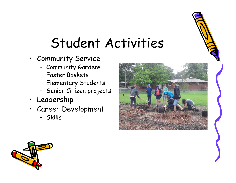### Student Activities

- Community Service
	- –Community Gardens
	- Easter Baskets
	- –Elementary Students
	- Senior Citizen projects
- Leadership
- Career Development
	- Skills



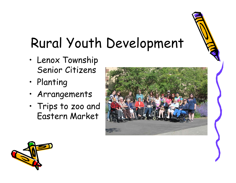## Rural Youth Development

- • Lenox Township Senior Citizens
- •Planting
- Arrangements
- • Trips to zoo and Eastern Market



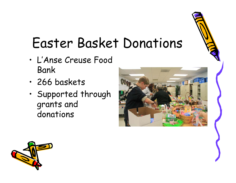## Easter Basket Donations

- • L'Anse Creuse Food Bank
- •266 baskets
- • Supported through grants and donations



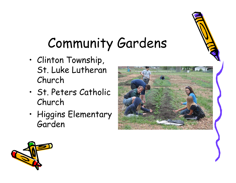## Community Gardens

- • Clinton Township, St. Luke Lutheran Church
- • St. Peters Catholic Church
- • Higgins Elementary Garden



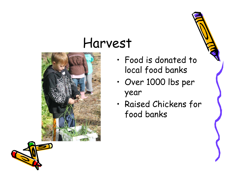### Harvest



- • Food is donated to local food banks
- • Over 1000 lbs per year
- • Raised Chickens for food banks

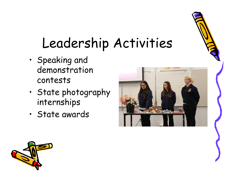## Leadership Activities

- • Speaking and demonstration contests
- • State photography internships
- •State awards



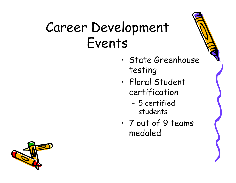### Career Development Events

- • State Greenhouse testing
- • Floral Student certification
	- – 5 certified students
- • 7 out of 9 teams medaled

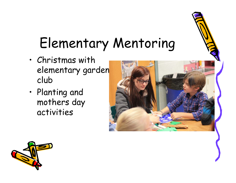## Elementary Mentoring

- • Christmas with elementary garden club
- • Planting and mothers day activities



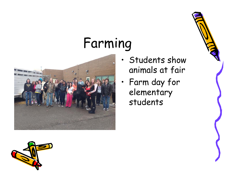# Farming



- • Students show animals at fair
- • Farm day for elementary students



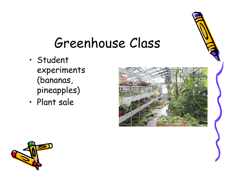### Greenhouse Class

- • Student experiments (bananas, pineapples)
- •Plant sale



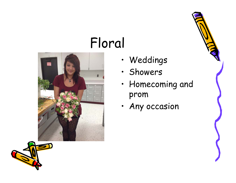## Floral



- •Weddings
- •Showers
- • Homecoming and prom
- Any occasion

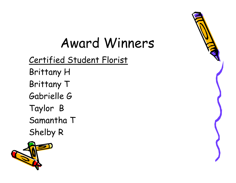## Award Winners

- Certified Student Florist Brittany H Brittany T Gabrielle G Taylor B Samantha T
- Shelby R



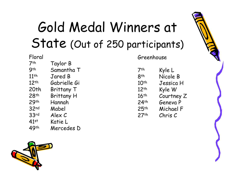### Gold Medal Winners at State (Out of 250 participants)

| Floral           |                   |
|------------------|-------------------|
| 7 <sup>th</sup>  | Taylor B          |
| <b>gth</b>       | Samantha T        |
| $11$ th          | Jared B           |
| 12 <sup>th</sup> | Gabrielle Gi      |
| 20th             | Brittany T        |
| 28 <sup>th</sup> | <b>Brittany H</b> |
| 29 <sup>th</sup> | Hannah            |
| 32nd             | Mabel             |
| 33 <sub>rd</sub> | Alex C            |
| 41st             | Katie L           |
| 49th             | Mercedes D        |
|                  |                   |



| $7$ th           | Kyle L     |
|------------------|------------|
| 8 <sup>th</sup>  | Nicole B   |
| 10 <sup>th</sup> | Jessica H  |
| 12 <sup>th</sup> | Kyle W     |
| $16$ th          | Courtney Z |
| $24$ th          | Geneva P   |
| 25 <sup>th</sup> | Michael F  |
| $27$ th          | Chris C    |
|                  |            |



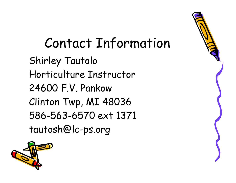#### Contact Information Shirley Tautolo Horticulture Instructor 24600 F.V. Pankow Clinton Twp, MI 48036 586-563-6570 ext 1371 tautosh@lc-ps.org



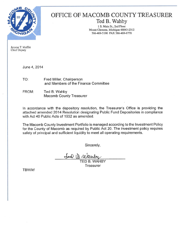

#### OFFICE OF MACOMB COUNTY TREASURER

Ted B. Wahby

1 S. Main St., 2nd Floor Mount Clemens, Michigan 48043-2312 586-469-5190 FAX 586-469-6770

Jerome T. Moffitt Chief Deputy

June 4, 2014

Fred Miller, Chairperson TO: and Members of the Finance Committee

FROM: Ted B. Wahby **Macomb County Treasurer** 

In accordance with the depository resolution, the Treasurer's Office is providing the attached amended 2014 Resolution designating Public Fund Depositories in compliance with Act 40 Public Acts of 1932 as amended.

The Macomb County Investment Portfolio is managed according to the Investment Policy for the County of Macomb as required by Public Act 20. The investment policy requires safety of principal and sufficient liquidity to meet all operating requirements.

Sincerely,

 $deQ$   $\beta$ 

WAHBY Treasurer

TBW/kf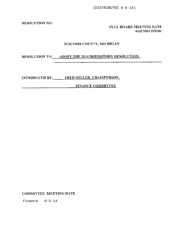RESOLUTION NO.

FULL BOARD MEETING DATE **AGENDA ITEM:** 

and a state

#### MACOMB COUNTY, MICHIGAN

RESOLUTION TO \_\_\_\_ ADOPT THE 2014 DEPOSITORY RESOLUTION.

INTRODUCED BY: FRED MILLER, CHAIRPERSON,

**FINANCE COMMITTEE** 

**COMMITTEE /MEETING DATE** 

Finance  $6-5-14$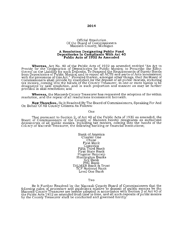Official Resolution Of the Board of Commissioners Macomb County, Michigan

#### A Resolution Designating Public Fund Depositories In Compliance With Act 40<br>Public Acts of 1932 As Amended

**Whereas,** Act No. 40 of the Public Acts of 1932 as amended entitled "An Act to Provide for the Designation of Depositories for Public Monies; to Prescribe the Effect thereof on the Liability for such Deposits, To Suspend

Whereas, the Macomb County Treasurer has requested the adoption of the within resolution, and the repeal of all resolutions inconsistent herewith.

Now Therefore, Be it Resolved By The Board of Commissioners, Speaking For And On Behalf Of All County Citizens As Follows:

One

That pursuant to Section 2, of Act 40 of the Public Acts of 1932 as amended, the Board of Commissioners of the County of Macomb hereby designates as authorized depositories of all public monies, including tax monies, comin

Bank of America Charter One Chase First Merit Comerica<br>Fifth Third Bank First State Bank Flagstar Bancorp<br>Huntington Banks<br>Key Bank<br>PNC Bank TALMER Bank & Trust<br>TCF National Bank<br>Level One Bank

Two

Be It Further Resolved by the Macomb County Board of Commissioners that the following rules of procedure and guidelines relative to deposit of public monies by the Macomb County Treasurer are hereby adopted in accordance